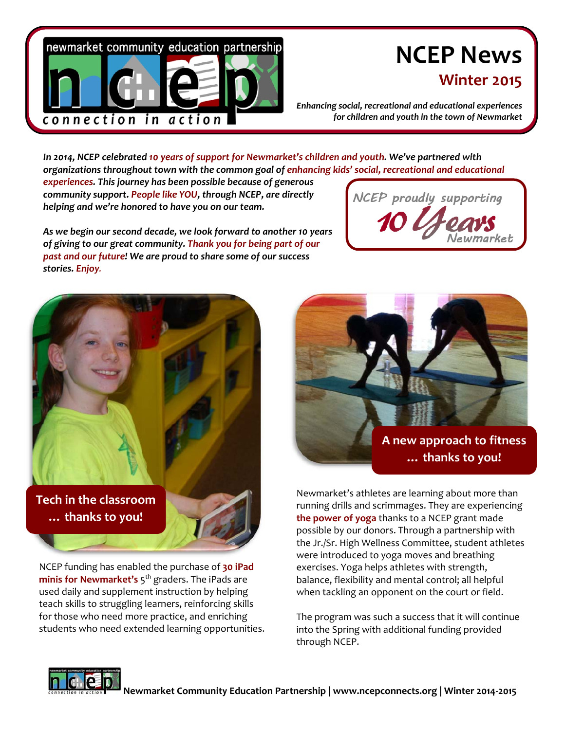

# **NCEP News**

## **Winter 2015**

*Enhancing social, recreational and educational experiences for children and youth in the town of Newmarket*

*In 2014, NCEP celebrated 10 years of support for Newmarket's children and youth. We've partnered with organizations throughout town with the common goal of enhancing kids' social, recreational and educational experiences. This journey has been possible because of generous community support. People like YOU, through NCEP, are directly* NCEP proudly supporting *helping and we're honored to have you on our team.* 

*As we begin our second decade, we look forward to another 10 years of giving to our great community. Thank you for being part of our past and our future! We are proud to share some of our success stories. Enjoy.*





**… thanks to you!**

NCEP funding has enabled the purchase of **30 iPad minis for Newmarket's** 5<sup>th</sup> graders. The iPads are used daily and supplement instruction by helping teach skills to struggling learners, reinforcing skills for those who need more practice, and enriching students who need extended learning opportunities.



Newmarket's athletes are learning about more than running drills and scrimmages. They are experiencing **the power of yoga** thanks to a NCEP grant made possible by our donors. Through a partnership with the Jr./Sr. High Wellness Committee, student athletes were introduced to yoga moves and breathing exercises. Yoga helps athletes with strength, balance, flexibility and mental control; all helpful when tackling an opponent on the court or field.

The program was such a success that it will continue into the Spring with additional funding provided through NCEP.

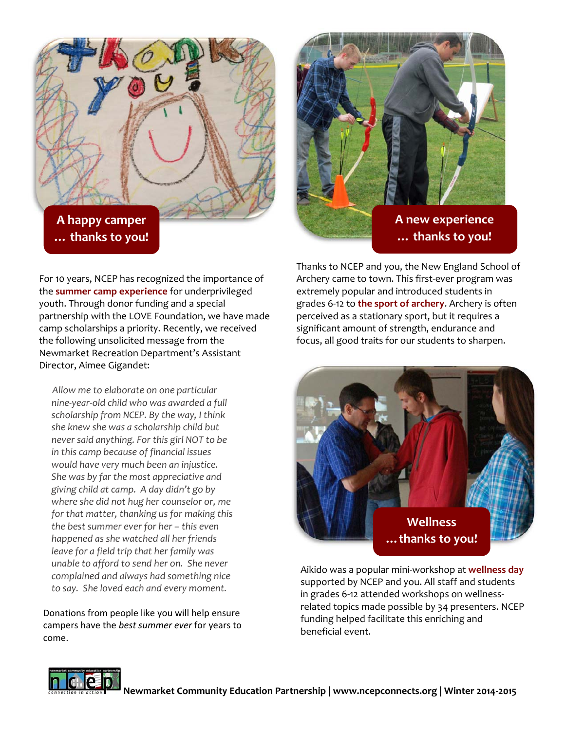**A happy camper … thanks to you!**



**A new experience … thanks to you!**

For 10 years, NCEP has recognized the importance of the **summer camp experience** for underprivileged youth. Through donor funding and a special partnership with the LOVE Foundation, we have made camp scholarships a priority. Recently, we received the following unsolicited message from the Newmarket Recreation Department's Assistant Director, Aimee Gigandet:

*Allow me to elaborate on one particular nine‐year‐old child who was awarded a full scholarship from NCEP. By the way, I think she knew she was a scholarship child but never said anything. For this girl NOT to be in this camp because of financial issues would have very much been an injustice. She was by far the most appreciative and giving child at camp. A day didn't go by where she did not hug her counselor or, me for that matter, thanking us for making this the best summer ever for her – this even happened as she watched all her friends leave for a field trip that her family was unable to afford to send her on. She never complained and always had something nice to say. She loved each and every moment.* 

Donations from people like you will help ensure campers have the *best summer ever* for years to come.

Thanks to NCEP and you, the New England School of Archery came to town. This first‐ever program was extremely popular and introduced students in grades 6‐12 to **the sport of archery**. Archery is often perceived as a stationary sport, but it requires a significant amount of strength, endurance and focus, all good traits for our students to sharpen.



Aikido was a popular mini‐workshop at **wellness day** supported by NCEP and you. All staff and students in grades 6‐12 attended workshops on wellness‐ related topics made possible by 34 presenters. NCEP funding helped facilitate this enriching and beneficial event.

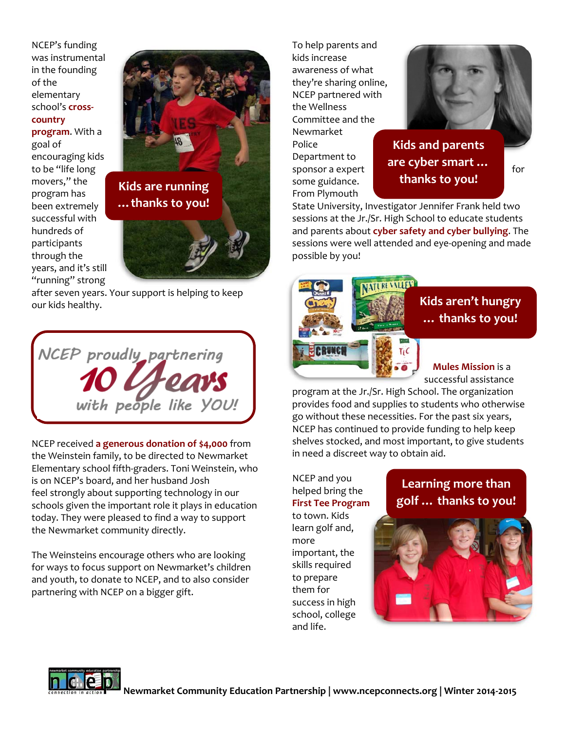NCEP's funding was instrumental in the founding of the elementary school's **cross‐ country program**. With a goal of encouraging kids to be "life long movers," the program has been extremely successful with hundreds of participants through the years, and it's still "running" strong



after seven years. Your support is helping to keep our kids healthy.

NCEP proudly\_partnering with people like YOU!

NCEP received **a generous donation of \$4,000** from the Weinstein family, to be directed to Newmarket Elementary school fifth‐graders. Toni Weinstein, who is on NCEP's board, and her husband Josh feel strongly about supporting technology in our schools given the important role it plays in education today. They were pleased to find a way to support the Newmarket community directly.

The Weinsteins encourage others who are looking for ways to focus support on Newmarket's children and youth, to donate to NCEP, and to also consider partnering with NCEP on a bigger gift.

To help parents and kids increase awareness of what they're sharing online, NCEP partnered with the Wellness Committee and the Newmarket Police Department to some guidance. From Plymouth



sponsor a expert for **Kids and parents are cyber smart … thanks to you!**

State University, Investigator Jennifer Frank held two sessions at the Jr./Sr. High School to educate students and parents about **cyber safety and cyber bullying**. The sessions were well attended and eye‐opening and made possible by you!



successful assistance program at the Jr./Sr. High School. The organization

provides food and supplies to students who otherwise go without these necessities. For the past six years, NCEP has continued to provide funding to help keep shelves stocked, and most important, to give students in need a discreet way to obtain aid.

NCEP and you helped bring the **First Tee Program** to town. Kids learn golf and, more important, the skills required to prepare them for success in high school, college and life.

### **Learning more than golf … thanks to you!**